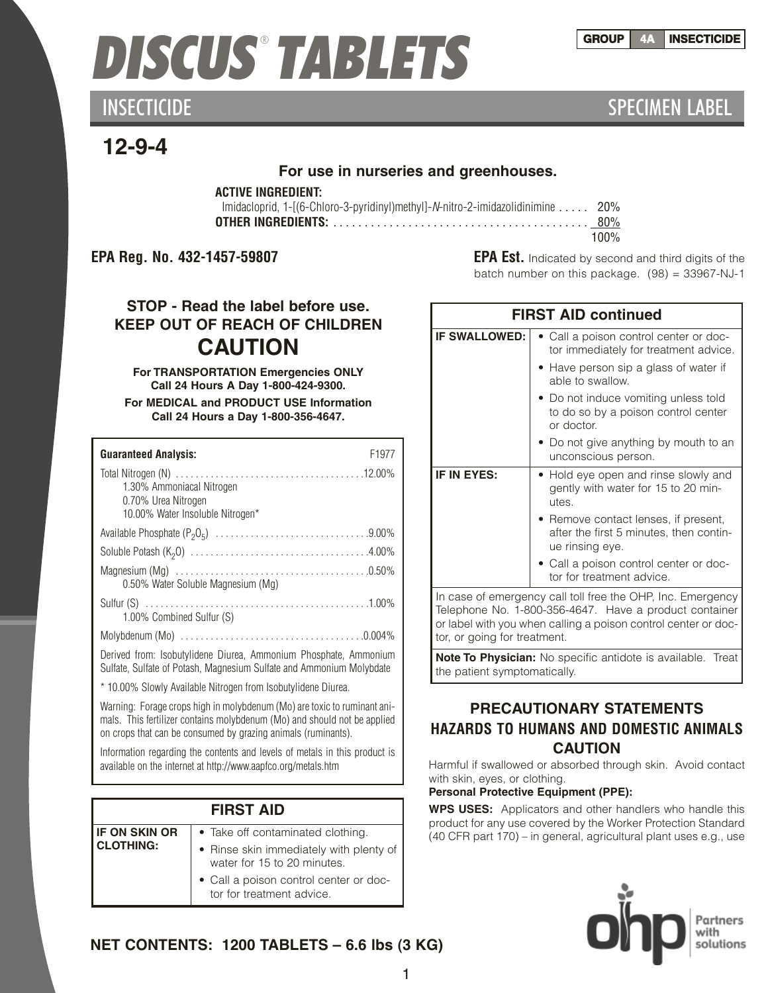### **GROUP 4A INSECTICIDE**

# *DISCUS* ® *TABLETS*

INSECTICIDE **SPECIMEN LABEL** 

# **12-9-4**

### **For use in nurseries and greenhouses.**

### **ACTIVE INGREDIENT:**

| Imidacloprid, 1-[(6-Chloro-3-pyridinyl)methyl]-N-nitro-2-imidazolidinimine  20% |      |
|---------------------------------------------------------------------------------|------|
|                                                                                 |      |
|                                                                                 | 100% |

**EPA Reg. No. 432-1457-59807 EPA Est.** Indicated by second and third digits of the batch number on this package. (98) = 33967-NJ-1

# **STOP - Read the label before use. KEEP OUT OF REACH OF CHILDREN CAUTION**

**For TRANSPORTATION Emergencies ONLY Call 24 Hours A Day 1-800-424-9300.**

**For MEDICAL and PRODUCT USE Information Call 24 Hours a Day 1-800-356-4647.**

| F <sub>1977</sub><br><b>Guaranteed Analysis:</b>                                                                                                                                                                      |
|-----------------------------------------------------------------------------------------------------------------------------------------------------------------------------------------------------------------------|
| 1.30% Ammoniacal Nitrogen<br>0.70% Urea Nitrogen<br>10.00% Water Insoluble Nitrogen*                                                                                                                                  |
|                                                                                                                                                                                                                       |
|                                                                                                                                                                                                                       |
| 0.50% Water Soluble Magnesium (Mg)                                                                                                                                                                                    |
| 1.00% Combined Sulfur (S)                                                                                                                                                                                             |
|                                                                                                                                                                                                                       |
| Derived from: Isobutylidene Diurea, Ammonium Phosphate, Ammonium<br>Sulfate, Sulfate of Potash, Magnesium Sulfate and Ammonium Molybdate                                                                              |
| * 10.00% Slowly Available Nitrogen from Isobutylidene Diurea.                                                                                                                                                         |
| Warning: Forage crops high in molybdenum (Mo) are toxic to ruminant ani-<br>mals. This fertilizer contains molybdenum (Mo) and should not be applied<br>on crops that can be consumed by grazing animals (ruminants). |

Information regarding the contents and levels of metals in this product is available on the internet at http://www.aapfco.org/metals.htm

### **FIRST AID**

| <b>IF ON SKIN OR</b> | Ta<br>$\bullet$ |
|----------------------|-----------------|
| <b>CLOTHING:</b>     | Ri              |
|                      | Wć              |
|                      | Сá              |

- ke off contaminated clothing.
- inse skin immediately with plenty of ater for 15 to 20 minutes.
- all a poison control center or doctor for treatment advice.

| <b>FIRST AID continued</b> |                                                                                                    |  |
|----------------------------|----------------------------------------------------------------------------------------------------|--|
| <b>IF SWALLOWED:</b>       | • Call a poison control center or doc-<br>tor immediately for treatment advice.                    |  |
|                            | • Have person sip a glass of water if<br>able to swallow.                                          |  |
|                            | • Do not induce vomiting unless told<br>to do so by a poison control center<br>or doctor.          |  |
|                            | • Do not give anything by mouth to an<br>unconscious person.                                       |  |
| <b>IF IN EYES:</b>         | • Hold eye open and rinse slowly and<br>gently with water for 15 to 20 min-<br>utes.               |  |
|                            | • Remove contact lenses, if present,<br>after the first 5 minutes, then contin-<br>ue rinsing eye. |  |
|                            | • Call a poison control center or doc-<br>tor for treatment advice.                                |  |
| T.L                        | In case of emergency call toll free the OHP, Inc. Emergency                                        |  |

Telephone No. 1-800-356-4647. Have a product container or label with you when calling a poison control center or doctor, or going for treatment.

**Note To Physician:** No specific antidote is available. Treat the patient symptomatically.

## **PRECAUTIONARY STATEMENTS HAZARDS TO HUMANS AND DOMESTIC ANIMALS CAUTION**

Harmful if swallowed or absorbed through skin. Avoid contact with skin, eyes, or clothing.

### **Personal Protective Equipment (PPE):**

**WPS USES:** Applicators and other handlers who handle this product for any use covered by the Worker Protection Standard (40 CFR part 170) – in general, agricultural plant uses e.g., use



**NET CONTENTS: 1200 TABLETS – 6.6 lbs (3 KG)**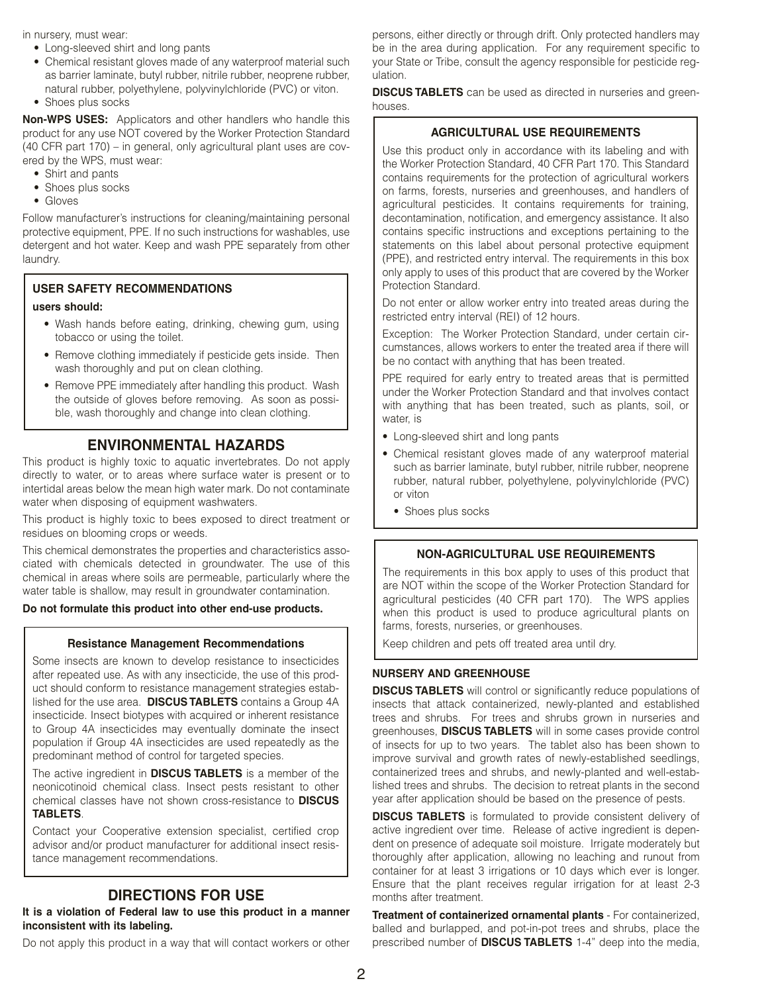in nursery, must wear:

- Long-sleeved shirt and long pants
- Chemical resistant gloves made of any waterproof material such as barrier laminate, butyl rubber, nitrile rubber, neoprene rubber, natural rubber, polyethylene, polyvinylchloride (PVC) or viton.
- Shoes plus socks

**Non-WPS USES:** Applicators and other handlers who handle this product for any use NOT covered by the Worker Protection Standard (40 CFR part 170) – in general, only agricultural plant uses are covered by the WPS, must wear:

- Shirt and pants
- Shoes plus socks
- Gloves

Follow manufacturer's instructions for cleaning/maintaining personal protective equipment, PPE. If no such instructions for washables, use detergent and hot water. Keep and wash PPE separately from other laundry.

#### **USER SAFETY RECOMMENDATIONS users should:**

- Wash hands before eating, drinking, chewing gum, using tobacco or using the toilet.
- Remove clothing immediately if pesticide gets inside. Then wash thoroughly and put on clean clothing.
- Remove PPE immediately after handling this product. Wash the outside of gloves before removing. As soon as possible, wash thoroughly and change into clean clothing.

### **ENVIRONMENTAL HAZARDS**

This product is highly toxic to aquatic invertebrates. Do not apply directly to water, or to areas where surface water is present or to intertidal areas below the mean high water mark. Do not contaminate water when disposing of equipment washwaters.

This product is highly toxic to bees exposed to direct treatment or residues on blooming crops or weeds.

This chemical demonstrates the properties and characteristics associated with chemicals detected in groundwater. The use of this chemical in areas where soils are permeable, particularly where the water table is shallow, may result in groundwater contamination.

#### **Do not formulate this product into other end-use products.**

#### **Resistance Management Recommendations**

Some insects are known to develop resistance to insecticides after repeated use. As with any insecticide, the use of this product should conform to resistance management strategies established for the use area. **DISCUSTABLETS** contains a Group 4A insecticide. Insect biotypes with acquired or inherent resistance to Group 4A insecticides may eventually dominate the insect population if Group 4A insecticides are used repeatedly as the predominant method of control for targeted species.

The active ingredient in **DISCUS TABLETS** is a member of the neonicotinoid chemical class. Insect pests resistant to other chemical classes have not shown cross-resistance to **DISCUS TABLETS**.

Contact your Cooperative extension specialist, certified crop advisor and/or product manufacturer for additional insect resistance management recommendations.

#### **DIRECTIONS FOR USE**

#### **It is a violation of Federal law to use this product in a manner inconsistent with its labeling.**

Do not apply this product in a way that will contact workers or other

persons, either directly or through drift. Only protected handlers may be in the area during application. For any requirement specific to your State or Tribe, consult the agency responsible for pesticide regulation.

**DISCUS TABLETS** can be used as directed in nurseries and greenhouses.

#### **AGRICULTURAL USE REQUIREMENTS**

Use this product only in accordance with its labeling and with the Worker Protection Standard, 40 CFR Part 170. This Standard contains requirements for the protection of agricultural workers on farms, forests, nurseries and greenhouses, and handlers of agricultural pesticides. It contains requirements for training, decontamination, notification, and emergency assistance. It also contains specific instructions and exceptions pertaining to the statements on this label about personal protective equipment (PPE), and restricted entry interval. The requirements in this box only apply to uses of this product that are covered by the Worker Protection Standard.

Do not enter or allow worker entry into treated areas during the restricted entry interval (REI) of 12 hours.

Exception: The Worker Protection Standard, under certain circumstances, allows workers to enter the treated area if there will be no contact with anything that has been treated.

PPE required for early entry to treated areas that is permitted under the Worker Protection Standard and that involves contact with anything that has been treated, such as plants, soil, or water, is

- Long-sleeved shirt and long pants
- Chemical resistant gloves made of any waterproof material such as barrier laminate, butyl rubber, nitrile rubber, neoprene rubber, natural rubber, polyethylene, polyvinylchloride (PVC) or viton
	- Shoes plus socks

#### **NON-AGRICULTURAL USE REQUIREMENTS**

The requirements in this box apply to uses of this product that are NOT within the scope of the Worker Protection Standard for agricultural pesticides (40 CFR part 170). The WPS applies when this product is used to produce agricultural plants on farms, forests, nurseries, or greenhouses.

Keep children and pets off treated area until dry.

#### **NURSERY AND GREENHOUSE**

**DISCUS TABLETS** will control or significantly reduce populations of insects that attack containerized, newly-planted and established trees and shrubs. For trees and shrubs grown in nurseries and greenhouses, **DISCUS TABLETS** will in some cases provide control of insects for up to two years. The tablet also has been shown to improve survival and growth rates of newly-established seedlings, containerized trees and shrubs, and newly-planted and well-established trees and shrubs. The decision to retreat plants in the second year after application should be based on the presence of pests.

**DISCUS TABLETS** is formulated to provide consistent delivery of active ingredient over time. Release of active ingredient is dependent on presence of adequate soil moisture. Irrigate moderately but thoroughly after application, allowing no leaching and runout from container for at least 3 irrigations or 10 days which ever is longer. Ensure that the plant receives regular irrigation for at least 2-3 months after treatment.

**Treatment of containerized ornamental plants** - For containerized, balled and burlapped, and pot-in-pot trees and shrubs, place the prescribed number of **DISCUS TABLETS** 1-4" deep into the media,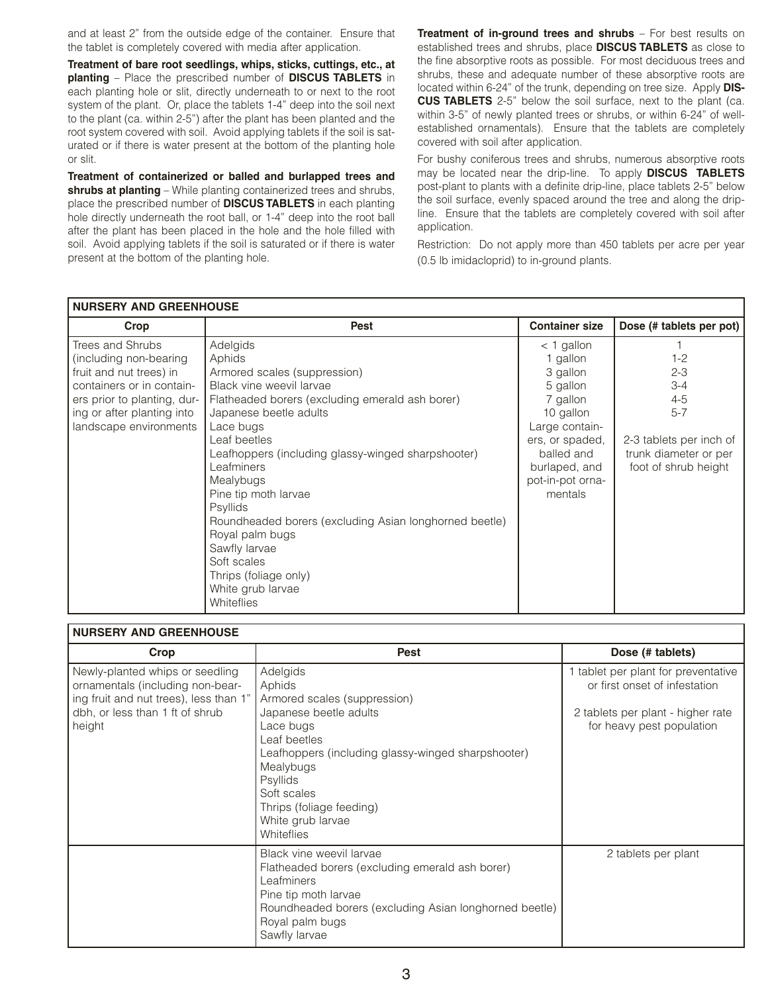and at least 2" from the outside edge of the container. Ensure that the tablet is completely covered with media after application.

**Treatment of bare root seedlings, whips, sticks, cuttings, etc., at planting** – Place the prescribed number of **DISCUS TABLETS** in each planting hole or slit, directly underneath to or next to the root system of the plant. Or, place the tablets 1-4" deep into the soil next to the plant (ca. within 2-5") after the plant has been planted and the root system covered with soil. Avoid applying tablets if the soil is saturated or if there is water present at the bottom of the planting hole or slit.

**Treatment of containerized or balled and burlapped trees and shrubs at planting** – While planting containerized trees and shrubs, place the prescribed number of **DISCUS TABLETS** in each planting hole directly underneath the root ball, or 1-4" deep into the root ball after the plant has been placed in the hole and the hole filled with soil. Avoid applying tablets if the soil is saturated or if there is water present at the bottom of the planting hole.

**Treatment of in-ground trees and shrubs** – For best results on established trees and shrubs, place **DISCUS TABLETS** as close to the fine absorptive roots as possible. For most deciduous trees and shrubs, these and adequate number of these absorptive roots are located within 6-24" of the trunk, depending on tree size. Apply **DIS-CUS TABLETS** 2-5" below the soil surface, next to the plant (ca. within 3-5" of newly planted trees or shrubs, or within 6-24" of wellestablished ornamentals). Ensure that the tablets are completely covered with soil after application.

For bushy coniferous trees and shrubs, numerous absorptive roots may be located near the drip-line. To apply **DISCUS TABLETS** post-plant to plants with a definite drip-line, place tablets 2-5" below the soil surface, evenly spaced around the tree and along the dripline. Ensure that the tablets are completely covered with soil after application.

Restriction: Do not apply more than 450 tablets per acre per year (0.5 lb imidacloprid) to in-ground plants.

| I NURSERY AND GREENHOUSE                                                                                                                                                                   |                                                                                                                                                                                                                                                                                                                                                                                                                                                                                               |                                                                                                                                                                              |                                                                                                                                 |
|--------------------------------------------------------------------------------------------------------------------------------------------------------------------------------------------|-----------------------------------------------------------------------------------------------------------------------------------------------------------------------------------------------------------------------------------------------------------------------------------------------------------------------------------------------------------------------------------------------------------------------------------------------------------------------------------------------|------------------------------------------------------------------------------------------------------------------------------------------------------------------------------|---------------------------------------------------------------------------------------------------------------------------------|
| Crop                                                                                                                                                                                       | <b>Pest</b>                                                                                                                                                                                                                                                                                                                                                                                                                                                                                   | <b>Container size</b>                                                                                                                                                        | Dose (# tablets per pot)                                                                                                        |
| Trees and Shrubs<br>(including non-bearing)<br>fruit and nut trees) in<br>containers or in contain-<br>ers prior to planting, dur-<br>ing or after planting into<br>landscape environments | Adelgids<br>Aphids<br>Armored scales (suppression)<br>Black vine weevil larvae<br>Flatheaded borers (excluding emerald ash borer)<br>Japanese beetle adults<br>Lace bugs<br>Leaf beetles<br>Leafhoppers (including glassy-winged sharpshooter)<br>Leafminers<br>Mealybugs<br>Pine tip moth larvae<br>Psyllids<br>Roundheaded borers (excluding Asian longhorned beetle)<br>Royal palm bugs<br>Sawfly larvae<br>Soft scales<br>Thrips (foliage only)<br>White grub larvae<br><b>Whiteflies</b> | $<$ 1 gallon<br>1 gallon<br>3 gallon<br>5 gallon<br>7 gallon<br>10 gallon<br>Large contain-<br>ers, or spaded,<br>balled and<br>burlaped, and<br>pot-in-pot orna-<br>mentals | $1 - 2$<br>$2 - 3$<br>$3 - 4$<br>$4 - 5$<br>$5 - 7$<br>2-3 tablets per inch of<br>trunk diameter or per<br>foot of shrub height |

| <b>NURSERY AND GREENHOUSE</b>                                                                                                                              |                                                                                                                                                                                                                                                                               |                                                                                                                                        |  |
|------------------------------------------------------------------------------------------------------------------------------------------------------------|-------------------------------------------------------------------------------------------------------------------------------------------------------------------------------------------------------------------------------------------------------------------------------|----------------------------------------------------------------------------------------------------------------------------------------|--|
| Crop                                                                                                                                                       | <b>Pest</b>                                                                                                                                                                                                                                                                   | Dose (# tablets)                                                                                                                       |  |
| Newly-planted whips or seedling<br>ornamentals (including non-bear-<br>ing fruit and nut trees), less than 1"<br>dbh, or less than 1 ft of shrub<br>height | Adelgids<br>Aphids<br>Armored scales (suppression)<br>Japanese beetle adults<br>Lace bugs<br>Leaf beetles<br>Leafhoppers (including glassy-winged sharpshooter)<br>Mealybugs<br><b>Psyllids</b><br>Soft scales<br>Thrips (foliage feeding)<br>White grub larvae<br>Whiteflies | 1 tablet per plant for preventative<br>or first onset of infestation<br>2 tablets per plant - higher rate<br>for heavy pest population |  |
|                                                                                                                                                            | Black vine weevil larvae<br>Flatheaded borers (excluding emerald ash borer)<br>Leafminers<br>Pine tip moth larvae<br>Roundheaded borers (excluding Asian longhorned beetle)<br>Royal palm bugs<br>Sawfly larvae                                                               | 2 tablets per plant                                                                                                                    |  |